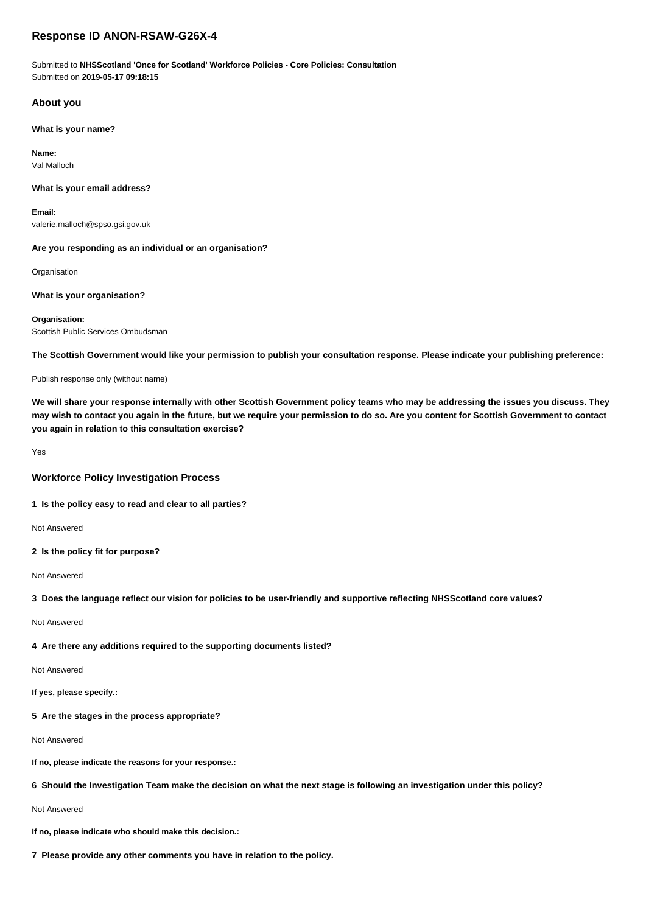# **Response ID ANON-RSAW-G26X-4**

Submitted to **NHSScotland 'Once for Scotland' Workforce Policies - Core Policies: Consultation** Submitted on **2019-05-17 09:18:15**

### **About you**

**What is your name?**

**Name:** Val Malloch

#### **What is your email address?**

**Email:** valerie.malloch@spso.gsi.gov.uk

#### **Are you responding as an individual or an organisation?**

**Organisation** 

#### **What is your organisation?**

**Organisation:** Scottish Public Services Ombudsman

**The Scottish Government would like your permission to publish your consultation response. Please indicate your publishing preference:**

Publish response only (without name)

**We will share your response internally with other Scottish Government policy teams who may be addressing the issues you discuss. They may wish to contact you again in the future, but we require your permission to do so. Are you content for Scottish Government to contact you again in relation to this consultation exercise?**

Yes

#### **Workforce Policy Investigation Process**

### **1 Is the policy easy to read and clear to all parties?**

Not Answered

**2 Is the policy fit for purpose?**

Not Answered

### **3 Does the language reflect our vision for policies to be user-friendly and supportive reflecting NHSScotland core values?**

Not Answered

# **4 Are there any additions required to the supporting documents listed?**

Not Answered

**If yes, please specify.:**

## **5 Are the stages in the process appropriate?**

Not Answered

**If no, please indicate the reasons for your response.:**

# **6 Should the Investigation Team make the decision on what the next stage is following an investigation under this policy?**

## Not Answered

**If no, please indicate who should make this decision.:**

**7 Please provide any other comments you have in relation to the policy.**